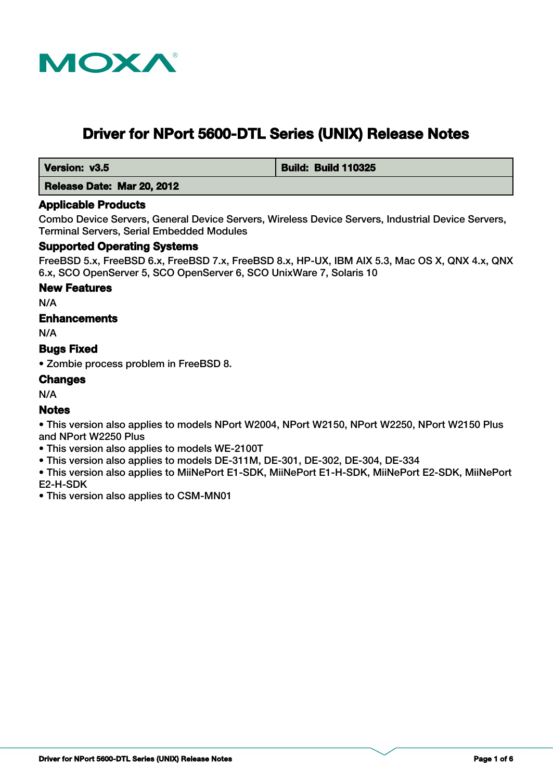

# **Driver for NPort 5600-DTL Series (UNIX) Release Notes**

 **Version: v3.5 Build: Build: Build 110325** 

 **Release Date: Mar 20, 2012**

## **Applicable Products**

Combo Device Servers, General Device Servers, Wireless Device Servers, Industrial Device Servers, Terminal Servers, Serial Embedded Modules

## **Supported Operating Systems**

FreeBSD 5.x, FreeBSD 6.x, FreeBSD 7.x, FreeBSD 8.x, HP-UX, IBM AIX 5.3, Mac OS X, QNX 4.x, QNX 6.x, SCO OpenServer 5, SCO OpenServer 6, SCO UnixWare 7, Solaris 10

## **New Features**

N/A

# **Enhancements**

N/A

# **Bugs Fixed**

• Zombie process problem in FreeBSD 8.

## **Changes**

N/A

## **Notes**

• This version also applies to models NPort W2004, NPort W2150, NPort W2250, NPort W2150 Plus and NPort W2250 Plus

- This version also applies to models WE-2100T
- This version also applies to models DE-311M, DE-301, DE-302, DE-304, DE-334

• This version also applies to MiiNePort E1-SDK, MiiNePort E1-H-SDK, MiiNePort E2-SDK, MiiNePort E2-H-SDK

• This version also applies to CSM-MN01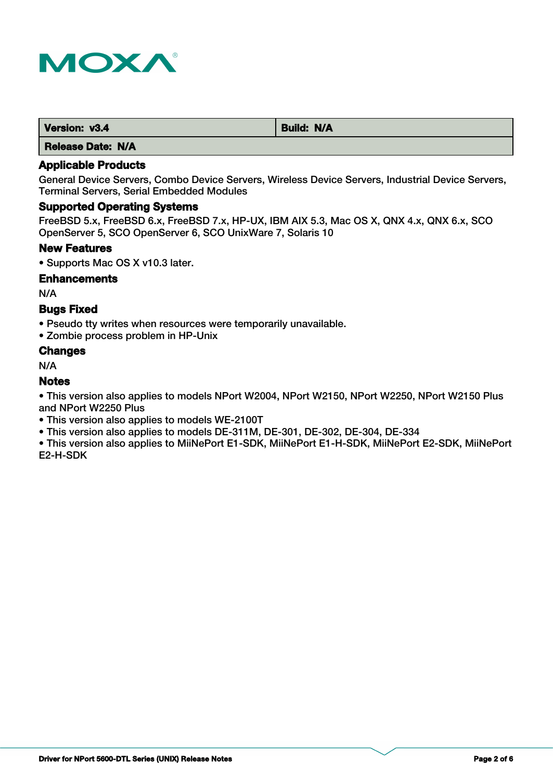

| Version: v3.4 | <b>Build: N/A</b> |
|---------------|-------------------|
|               |                   |

## **Applicable Products**

General Device Servers, Combo Device Servers, Wireless Device Servers, Industrial Device Servers, Terminal Servers, Serial Embedded Modules

## **Supported Operating Systems**

FreeBSD 5.x, FreeBSD 6.x, FreeBSD 7.x, HP-UX, IBM AIX 5.3, Mac OS X, QNX 4.x, QNX 6.x, SCO OpenServer 5, SCO OpenServer 6, SCO UnixWare 7, Solaris 10

#### **New Features**

• Supports Mac OS X v10.3 later.

#### **Enhancements**

N/A

## **Bugs Fixed**

• Pseudo tty writes when resources were temporarily unavailable.

• Zombie process problem in HP-Unix

## **Changes**

N/A

## **Notes**

• This version also applies to models NPort W2004, NPort W2150, NPort W2250, NPort W2150 Plus and NPort W2250 Plus

- This version also applies to models WE-2100T
- This version also applies to models DE-311M, DE-301, DE-302, DE-304, DE-334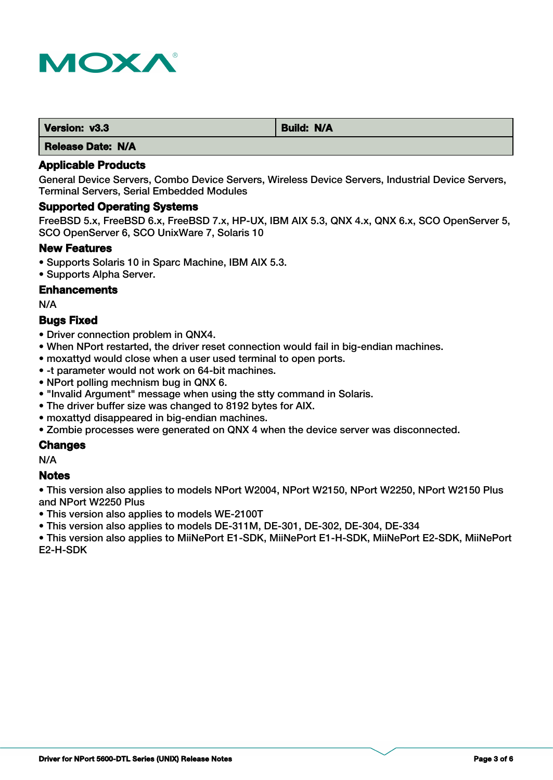

| Version: v3.3 | Build: N/A |
|---------------|------------|
| .             |            |

## **Applicable Products**

General Device Servers, Combo Device Servers, Wireless Device Servers, Industrial Device Servers, Terminal Servers, Serial Embedded Modules

#### **Supported Operating Systems**

FreeBSD 5.x, FreeBSD 6.x, FreeBSD 7.x, HP-UX, IBM AIX 5.3, QNX 4.x, QNX 6.x, SCO OpenServer 5, SCO OpenServer 6, SCO UnixWare 7, Solaris 10

## **New Features**

- Supports Solaris 10 in Sparc Machine, IBM AIX 5.3.
- Supports Alpha Server.

## **Enhancements**

N/A

## **Bugs Fixed**

- Driver connection problem in QNX4.
- When NPort restarted, the driver reset connection would fail in big-endian machines.
- moxattyd would close when a user used terminal to open ports.
- -t parameter would not work on 64-bit machines.
- NPort polling mechnism bug in QNX 6.
- "Invalid Argument" message when using the stty command in Solaris.
- The driver buffer size was changed to 8192 bytes for AIX.
- moxattyd disappeared in big-endian machines.
- Zombie processes were generated on QNX 4 when the device server was disconnected.

# **Changes**

N/A

## **Notes**

• This version also applies to models NPort W2004, NPort W2150, NPort W2250, NPort W2150 Plus and NPort W2250 Plus

• This version also applies to models WE-2100T

• This version also applies to models DE-311M, DE-301, DE-302, DE-304, DE-334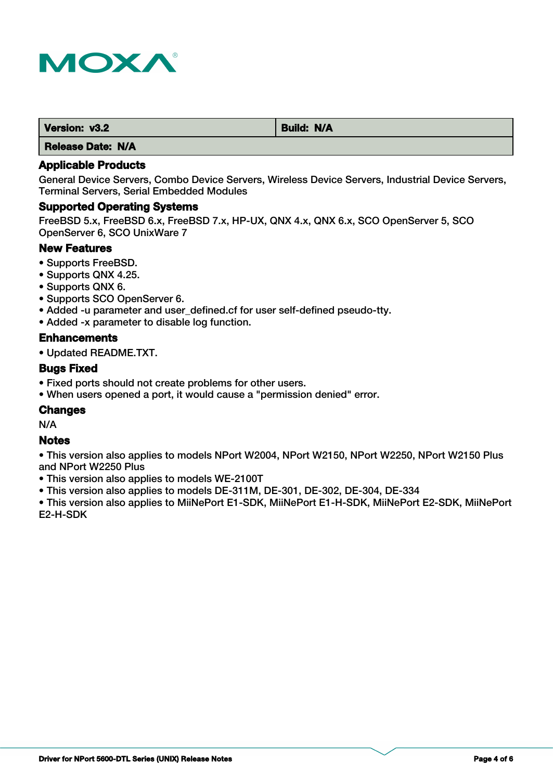

| Version: v3.2            | <b>Build: N/A</b> |
|--------------------------|-------------------|
| I Malaysia Malaysia 1974 |                   |

## **Applicable Products**

General Device Servers, Combo Device Servers, Wireless Device Servers, Industrial Device Servers, Terminal Servers, Serial Embedded Modules

#### **Supported Operating Systems**

FreeBSD 5.x, FreeBSD 6.x, FreeBSD 7.x, HP-UX, QNX 4.x, QNX 6.x, SCO OpenServer 5, SCO OpenServer 6, SCO UnixWare 7

## **New Features**

- Supports FreeBSD.
- Supports QNX 4.25.
- Supports QNX 6.
- Supports SCO OpenServer 6.
- Added -u parameter and user\_defined.cf for user self-defined pseudo-tty.
- Added -x parameter to disable log function.

#### **Enhancements**

• Updated README.TXT.

## **Bugs Fixed**

- Fixed ports should not create problems for other users.
- When users opened a port, it would cause a "permission denied" error.

## **Changes**

N/A

#### **Notes**

• This version also applies to models NPort W2004, NPort W2150, NPort W2250, NPort W2150 Plus and NPort W2250 Plus

• This version also applies to models WE-2100T

• This version also applies to models DE-311M, DE-301, DE-302, DE-304, DE-334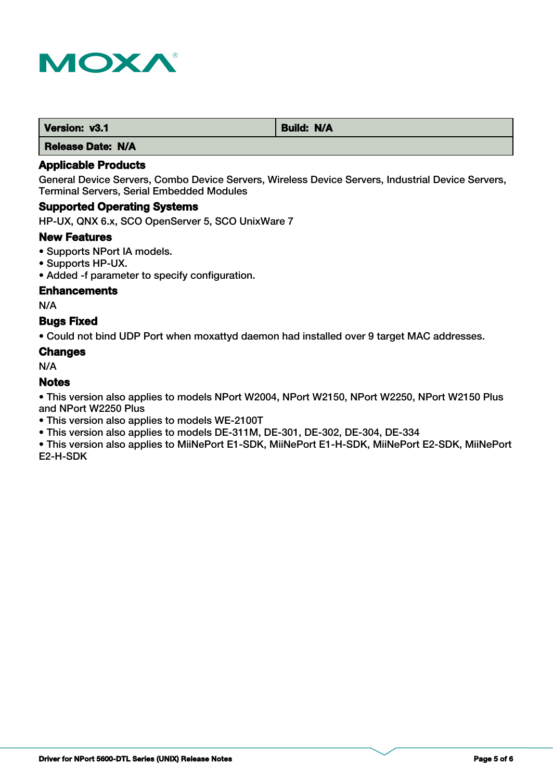

| Version: v3.1 | <b>Build: N/A</b> |
|---------------|-------------------|
| .<br>----     |                   |

## **Applicable Products**

General Device Servers, Combo Device Servers, Wireless Device Servers, Industrial Device Servers, Terminal Servers, Serial Embedded Modules

## **Supported Operating Systems**

HP-UX, QNX 6.x, SCO OpenServer 5, SCO UnixWare 7

#### **New Features**

- Supports NPort IA models.
- Supports HP-UX.
- Added -f parameter to specify configuration.

## **Enhancements**

N/A

## **Bugs Fixed**

• Could not bind UDP Port when moxattyd daemon had installed over 9 target MAC addresses.

#### **Changes**

N/A

## **Notes**

• This version also applies to models NPort W2004, NPort W2150, NPort W2250, NPort W2150 Plus and NPort W2250 Plus

- This version also applies to models WE-2100T
- This version also applies to models DE-311M, DE-301, DE-302, DE-304, DE-334